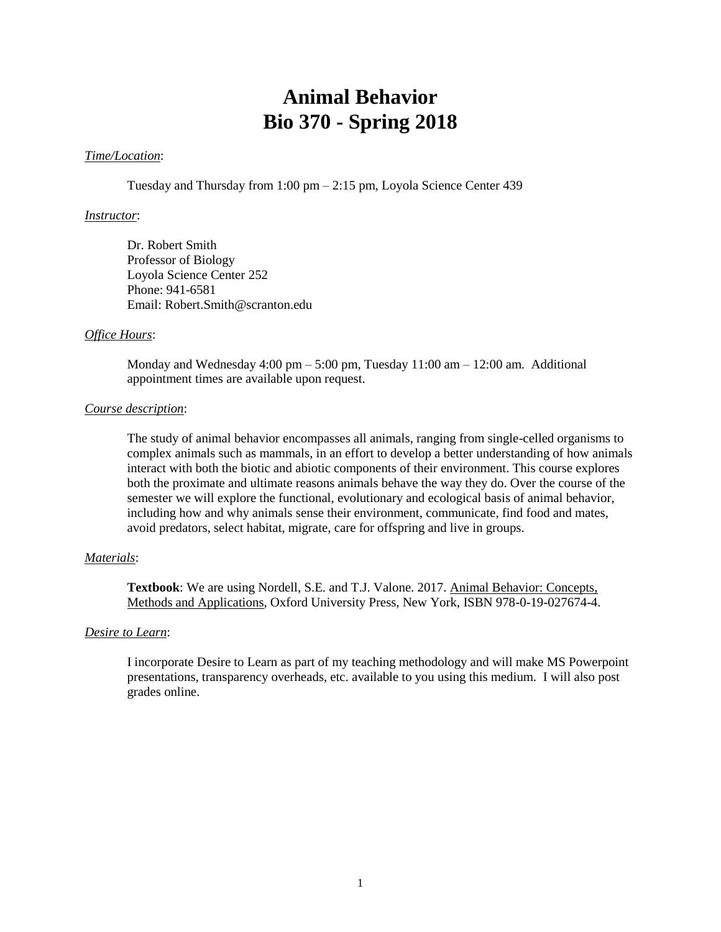# **Animal Behavior Bio 370 - Spring 2018**

#### *Time/Location*:

Tuesday and Thursday from 1:00 pm – 2:15 pm, Loyola Science Center 439

#### *Instructor*:

Dr. Robert Smith Professor of Biology Loyola Science Center 252 Phone: 941-6581 Email: Robert.Smith@scranton.edu

#### *Office Hours*:

Monday and Wednesday  $4:00 \text{ pm} - 5:00 \text{ pm}$ , Tuesday  $11:00 \text{ am} - 12:00 \text{ am}$ . Additional appointment times are available upon request.

## *Course description*:

The study of animal behavior encompasses all animals, ranging from single-celled organisms to complex animals such as mammals, in an effort to develop a better understanding of how animals interact with both the biotic and abiotic components of their environment. This course explores both the proximate and ultimate reasons animals behave the way they do. Over the course of the semester we will explore the functional, evolutionary and ecological basis of animal behavior, including how and why animals sense their environment, communicate, find food and mates, avoid predators, select habitat, migrate, care for offspring and live in groups.

### *Materials*:

**Textbook**: We are using Nordell, S.E. and T.J. Valone. 2017. Animal Behavior: Concepts, Methods and Applications, Oxford University Press, New York, ISBN 978-0-19-027674-4.

#### *Desire to Learn*:

I incorporate Desire to Learn as part of my teaching methodology and will make MS Powerpoint presentations, transparency overheads, etc. available to you using this medium. I will also post grades online.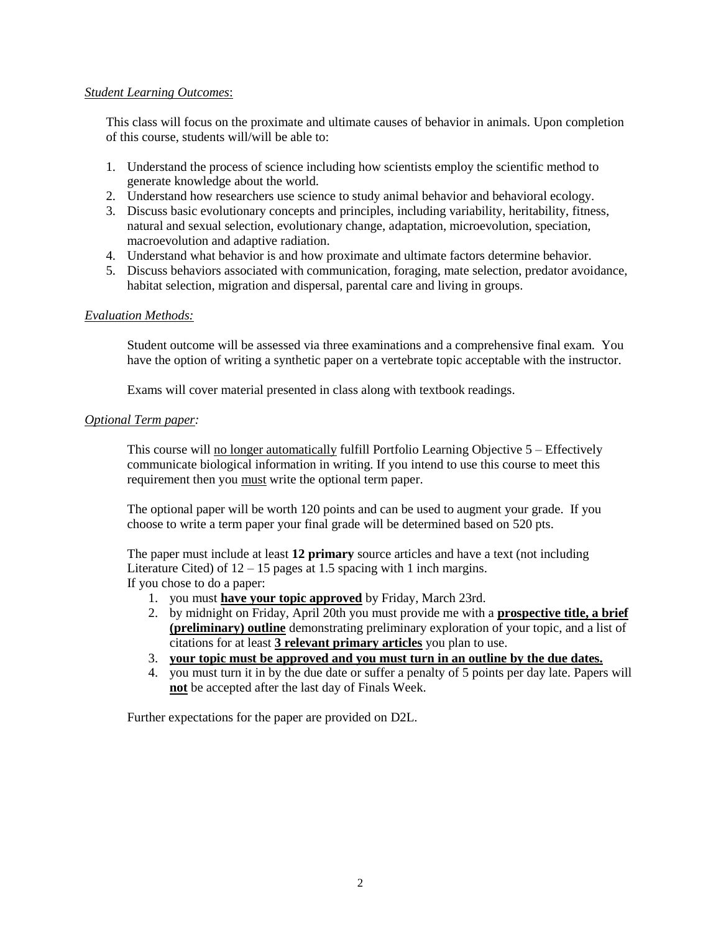## *Student Learning Outcomes*:

This class will focus on the proximate and ultimate causes of behavior in animals. Upon completion of this course, students will/will be able to:

- 1. Understand the process of science including how scientists employ the scientific method to generate knowledge about the world.
- 2. Understand how researchers use science to study animal behavior and behavioral ecology.
- 3. Discuss basic evolutionary concepts and principles, including variability, heritability, fitness, natural and sexual selection, evolutionary change, adaptation, microevolution, speciation, macroevolution and adaptive radiation.
- 4. Understand what behavior is and how proximate and ultimate factors determine behavior.
- 5. Discuss behaviors associated with communication, foraging, mate selection, predator avoidance, habitat selection, migration and dispersal, parental care and living in groups.

## *Evaluation Methods:*

Student outcome will be assessed via three examinations and a comprehensive final exam. You have the option of writing a synthetic paper on a vertebrate topic acceptable with the instructor.

Exams will cover material presented in class along with textbook readings.

## *Optional Term paper:*

This course will no longer automatically fulfill Portfolio Learning Objective 5 – Effectively communicate biological information in writing. If you intend to use this course to meet this requirement then you must write the optional term paper.

The optional paper will be worth 120 points and can be used to augment your grade. If you choose to write a term paper your final grade will be determined based on 520 pts.

The paper must include at least **12 primary** source articles and have a text (not including Literature Cited) of  $12 - 15$  pages at 1.5 spacing with 1 inch margins. If you chose to do a paper:

- 1. you must **have your topic approved** by Friday, March 23rd.
- 2. by midnight on Friday, April 20th you must provide me with a **prospective title, a brief (preliminary) outline** demonstrating preliminary exploration of your topic, and a list of citations for at least **3 relevant primary articles** you plan to use.
- 3. **your topic must be approved and you must turn in an outline by the due dates.**
- 4. you must turn it in by the due date or suffer a penalty of 5 points per day late. Papers will **not** be accepted after the last day of Finals Week.

Further expectations for the paper are provided on D2L.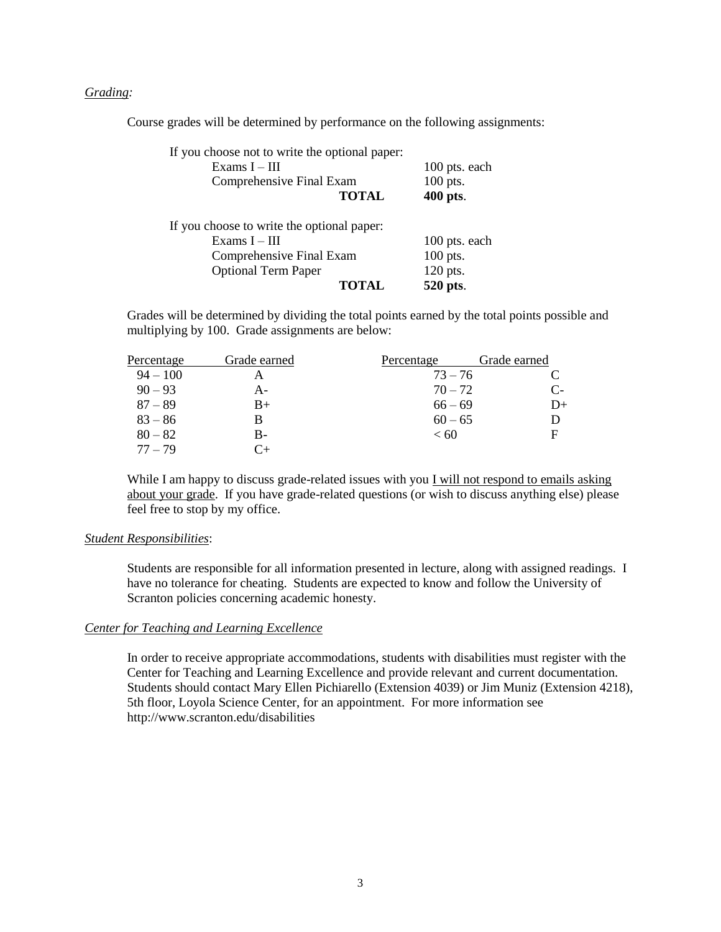#### *Grading:*

Course grades will be determined by performance on the following assignments:

| If you choose not to write the optional paper: |               |
|------------------------------------------------|---------------|
| Exams $I - III$                                | 100 pts. each |
| Comprehensive Final Exam                       | 100 pts.      |
| <b>TOTAL</b>                                   | 400 pts.      |
| If you choose to write the optional paper:     |               |
| Exams $I - III$                                | 100 pts. each |
| Comprehensive Final Exam                       | 100 pts.      |
| <b>Optional Term Paper</b>                     | 120 pts.      |
| <b>TOTAL</b>                                   | 520 pts.      |

Grades will be determined by dividing the total points earned by the total points possible and multiplying by 100. Grade assignments are below:

| Percentage | Grade earned | Percentage | Grade earned |
|------------|--------------|------------|--------------|
| $94 - 100$ |              | $73 - 76$  |              |
| $90 - 93$  | А-           | $70 - 72$  | C-           |
| $87 - 89$  | $B+$         | $66 - 69$  | D+           |
| $83 - 86$  | В            | $60 - 65$  |              |
| $80 - 82$  | B-           | < 60       | F            |
| $77 - 79$  | $C_{+}$      |            |              |

While I am happy to discuss grade-related issues with you  $I$  will not respond to emails asking about your grade. If you have grade-related questions (or wish to discuss anything else) please feel free to stop by my office.

#### *Student Responsibilities*:

Students are responsible for all information presented in lecture, along with assigned readings. I have no tolerance for cheating. Students are expected to know and follow the University of Scranton policies concerning academic honesty.

#### *Center for Teaching and Learning Excellence*

In order to receive appropriate accommodations, students with disabilities must register with the Center for Teaching and Learning Excellence and provide relevant and current documentation. Students should contact Mary Ellen Pichiarello (Extension 4039) or Jim Muniz (Extension 4218), 5th floor, Loyola Science Center, for an appointment.For more information see http://www.scranton.edu/disabilities